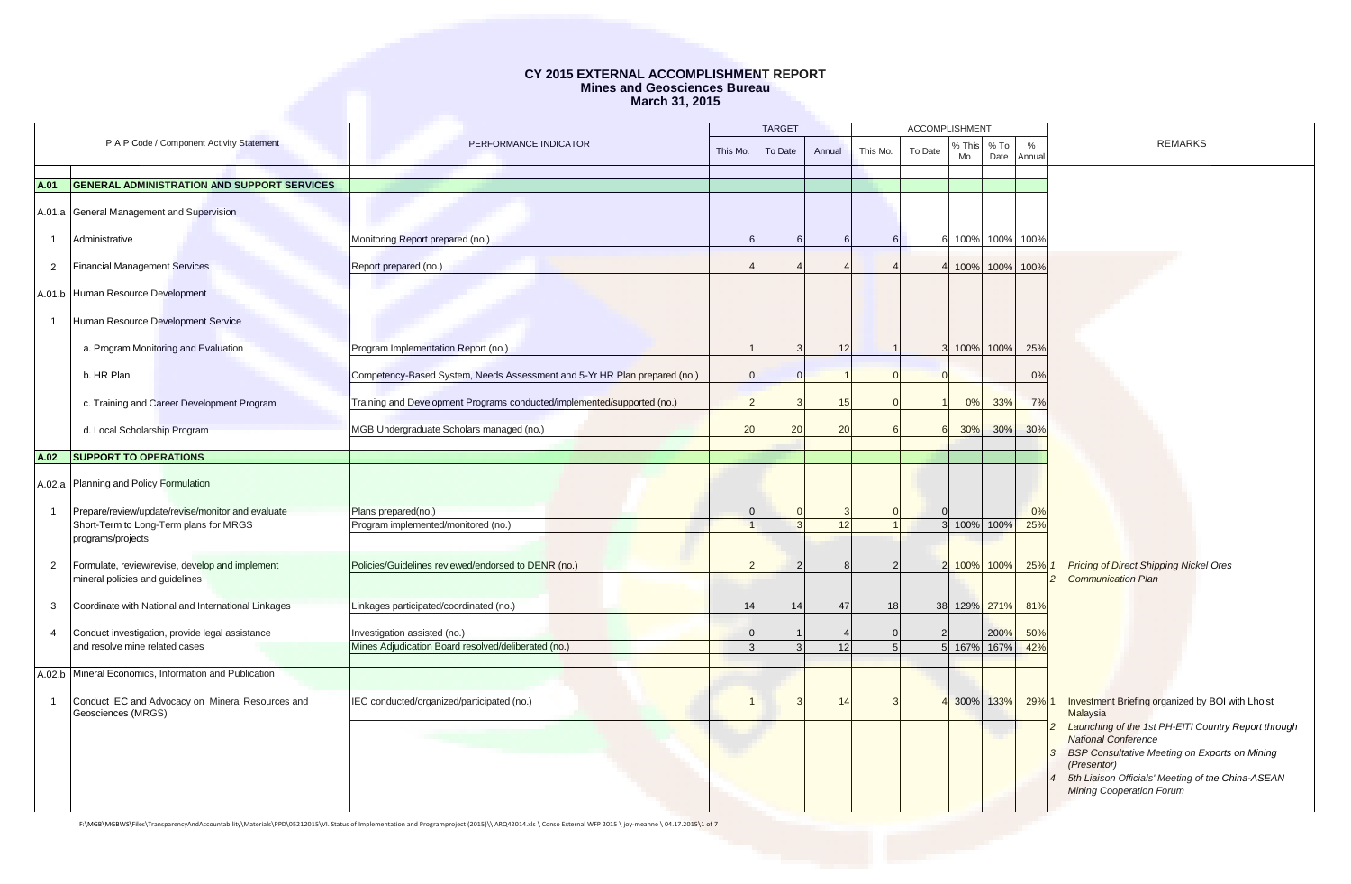|                |                                                                                    |                                                                                                                                                                                                          |          | <b>TARGET</b> |        |          | <b>ACCOMPLISHMENT</b> |               |                |                  |                                                                                      |
|----------------|------------------------------------------------------------------------------------|----------------------------------------------------------------------------------------------------------------------------------------------------------------------------------------------------------|----------|---------------|--------|----------|-----------------------|---------------|----------------|------------------|--------------------------------------------------------------------------------------|
|                | P A P Code / Component Activity Statement                                          | PERFORMANCE INDICATOR                                                                                                                                                                                    | This Mo. | To Date       | Annual | This Mo. | To Date               | % This<br>Mo. | $%$ To<br>Date | $\%$<br>Annual   | <b>REMARKS</b>                                                                       |
|                |                                                                                    |                                                                                                                                                                                                          |          |               |        |          |                       |               |                |                  |                                                                                      |
| A.01           | GENERAL ADMINISTRATION AND SUPPORT SERVICES                                        |                                                                                                                                                                                                          |          |               |        |          |                       |               |                |                  |                                                                                      |
|                | A.01.a General Management and Supervision                                          |                                                                                                                                                                                                          |          |               |        |          |                       |               |                |                  |                                                                                      |
| $\overline{1}$ | Administrative                                                                     | Monitoring Report prepared (no.)                                                                                                                                                                         |          |               |        |          |                       |               |                | 6 100% 100% 100% |                                                                                      |
| $\overline{2}$ | <b>Financial Management Services</b>                                               | Report prepared (no.)                                                                                                                                                                                    |          |               |        |          |                       | 4 100% 100%   |                | 100%             |                                                                                      |
|                | A.01.b Human Resource Development                                                  |                                                                                                                                                                                                          |          |               |        |          |                       |               |                |                  |                                                                                      |
| $\overline{1}$ | Human Resource Development Service                                                 |                                                                                                                                                                                                          |          |               |        |          |                       |               |                |                  |                                                                                      |
|                | a. Program Monitoring and Evaluation                                               | Program Implementation Report (no.)                                                                                                                                                                      |          |               | 12     |          |                       | 3 100% 100%   |                | 25%              |                                                                                      |
|                | b. HR Plan                                                                         | Competency-Based System, Needs Assessment and 5-Yr HR Plan prepared (no.)                                                                                                                                |          |               |        |          | $\Omega$              |               |                | 0%               |                                                                                      |
|                | c. Training and Career Development Program                                         | Training and Development Programs conducted/implemented/supported (no.)                                                                                                                                  |          |               | 15     |          |                       | 0%            | 33%            | 7%               |                                                                                      |
|                | d. Local Scholarship Program                                                       | MGB Undergraduate Scholars managed (no.)                                                                                                                                                                 | 20       | 20            | 20     |          |                       | 30%           | 30%            | 30%              |                                                                                      |
| A.02           | <b>SUPPORT TO OPERATIONS</b>                                                       |                                                                                                                                                                                                          |          |               |        |          |                       |               |                |                  |                                                                                      |
|                | A.02.a Planning and Policy Formulation                                             |                                                                                                                                                                                                          |          |               |        |          |                       |               |                |                  |                                                                                      |
| $\mathbf{1}$   | Prepare/review/update/revise/monitor and evaluate                                  | Plans prepared(no.)                                                                                                                                                                                      |          |               |        |          |                       |               |                | 0%               |                                                                                      |
|                | Short-Term to Long-Term plans for MRGS                                             | Program implemented/monitored (no.)                                                                                                                                                                      |          |               | 12     |          |                       | 3 100%        | 100%           | 25%              |                                                                                      |
|                | programs/projects                                                                  |                                                                                                                                                                                                          |          |               |        |          |                       |               |                |                  |                                                                                      |
| $\overline{2}$ | Formulate, review/revise, develop and implement<br>mineral policies and guidelines | Policies/Guidelines reviewed/endorsed to DENR (no.)                                                                                                                                                      |          |               |        |          |                       | 2 100% 100%   |                | 25% 1            | <b>Pricing of Direct Shipping Nickel Ores</b><br><b>Communication Plan</b>           |
| 3              | Coordinate with National and International Linkages                                | Linkages participated/coordinated (no.)                                                                                                                                                                  | 14       | 14            | 47     | 18       |                       | 38 129% 271%  |                | 81%              |                                                                                      |
| $\overline{4}$ | Conduct investigation, provide legal assistance                                    | Investigation assisted (no.)                                                                                                                                                                             |          |               |        |          | $\overline{2}$        |               | 200%           | 50%              |                                                                                      |
|                | and resolve mine related cases                                                     | Mines Adjudication Board resolved/deliberated (no.)                                                                                                                                                      |          |               | 12     | 5        |                       | 5 167%        | 167%           | 42%              |                                                                                      |
|                |                                                                                    |                                                                                                                                                                                                          |          |               |        |          |                       |               |                |                  |                                                                                      |
|                | A.02.b Mineral Economics, Information and Publication                              |                                                                                                                                                                                                          |          |               |        |          |                       |               |                |                  |                                                                                      |
| $\overline{1}$ | Conduct IEC and Advocacy on Mineral Resources and                                  | IEC conducted/organized/participated (no.)                                                                                                                                                               |          |               | 14     |          |                       |               | 300% 133%      | 29% 1            | Investment Briefing organized by BOI with Lhoist                                     |
|                | Geosciences (MRGS)                                                                 |                                                                                                                                                                                                          |          |               |        |          |                       |               |                |                  | <b>Malaysia</b>                                                                      |
|                |                                                                                    |                                                                                                                                                                                                          |          |               |        |          |                       |               |                |                  | Launching of the 1st PH-EITI Country Report through<br><b>National Conference</b>    |
|                |                                                                                    |                                                                                                                                                                                                          |          |               |        |          |                       |               |                |                  | <b>BSP Consultative Meeting on Exports on Mining</b>                                 |
|                |                                                                                    |                                                                                                                                                                                                          |          |               |        |          |                       |               |                |                  | (Presentor)                                                                          |
|                |                                                                                    |                                                                                                                                                                                                          |          |               |        |          |                       |               |                |                  | 5th Liaison Officials' Meeting of the China-ASEAN<br><b>Mining Cooperation Forum</b> |
|                |                                                                                    | F:\MGB\MGBWS\Files\TransparencyAndAccountability\Materials\PPD\05212015\VI. Status of Implementation and Programproject (2015)\\ ARQ42014.xls \ Conso External WFP 2015 \ joy-meanne \ 04.17.2015\1 of 7 |          |               |        |          |                       |               |                |                  |                                                                                      |
|                |                                                                                    |                                                                                                                                                                                                          |          |               |        |          |                       |               |                |                  |                                                                                      |
|                |                                                                                    |                                                                                                                                                                                                          |          |               |        |          |                       |               |                |                  |                                                                                      |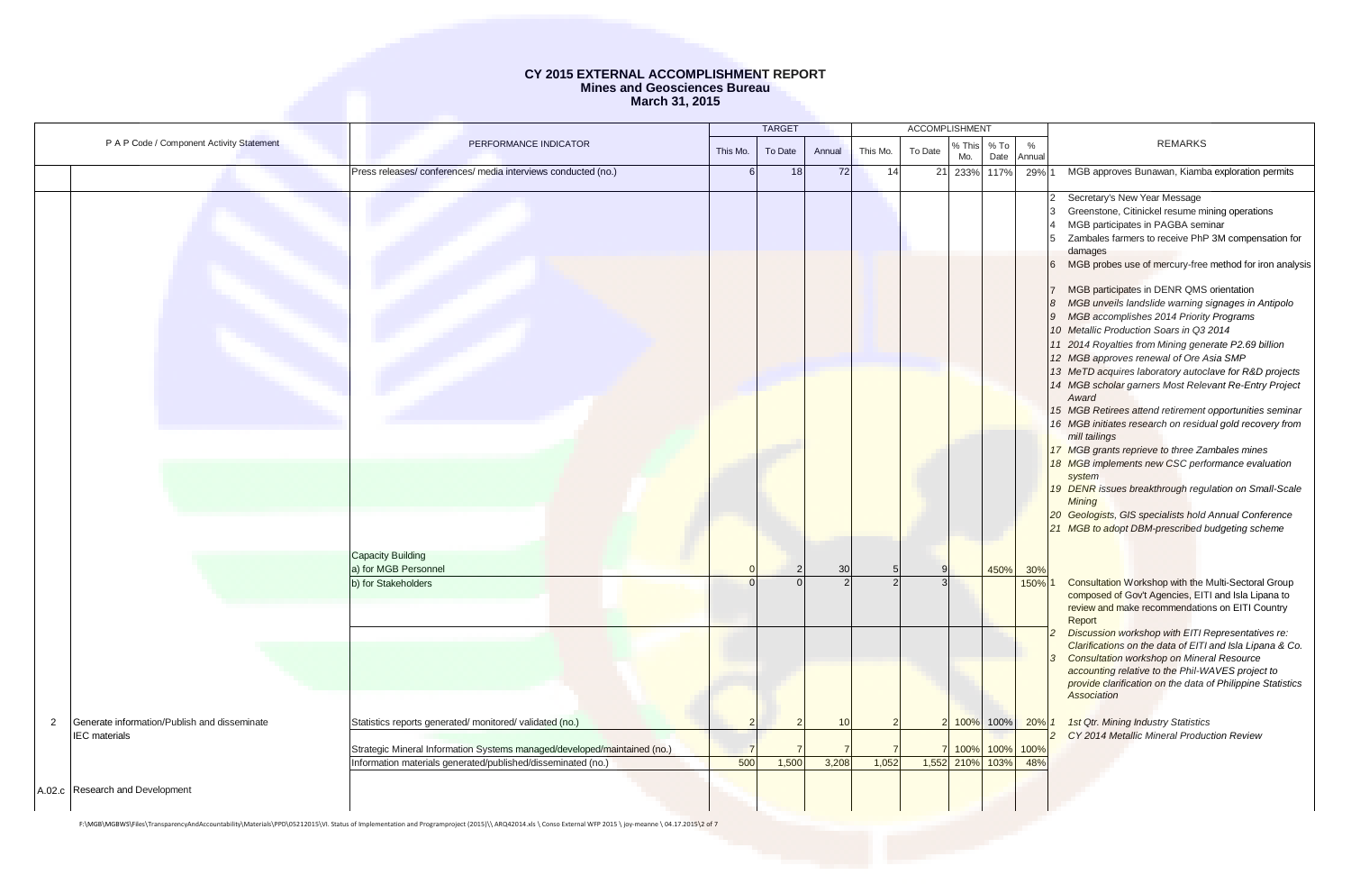|   |                                                                      |                                                                          |          | <b>TARGET</b> |        |          |         | <b>ACCOMPLISHMENT</b> |                |                |                                                                                                                                                                                                                                                                                                                                                                                                                                                                                                                                                                                                                                                                                                                                                                                                                                                                                                                                                                                                                                                                                                                   |
|---|----------------------------------------------------------------------|--------------------------------------------------------------------------|----------|---------------|--------|----------|---------|-----------------------|----------------|----------------|-------------------------------------------------------------------------------------------------------------------------------------------------------------------------------------------------------------------------------------------------------------------------------------------------------------------------------------------------------------------------------------------------------------------------------------------------------------------------------------------------------------------------------------------------------------------------------------------------------------------------------------------------------------------------------------------------------------------------------------------------------------------------------------------------------------------------------------------------------------------------------------------------------------------------------------------------------------------------------------------------------------------------------------------------------------------------------------------------------------------|
|   | P A P Code / Component Activity Statement                            | PERFORMANCE INDICATOR                                                    | This Mo. | To Date       | Annual | This Mo. | To Date | S This<br>Mo.         | $%$ To<br>Date | $\%$<br>Annual | <b>REMARKS</b>                                                                                                                                                                                                                                                                                                                                                                                                                                                                                                                                                                                                                                                                                                                                                                                                                                                                                                                                                                                                                                                                                                    |
|   |                                                                      | Press releases/conferences/media interviews conducted (no.)              |          | 18            | 72     | 14       | 21      | 233%                  | 117%           | 29%            | MGB approves Bunawan, Kiamba exploration permits                                                                                                                                                                                                                                                                                                                                                                                                                                                                                                                                                                                                                                                                                                                                                                                                                                                                                                                                                                                                                                                                  |
|   |                                                                      |                                                                          |          |               |        |          |         |                       |                |                | Secretary's New Year Message<br>Greenstone, Citinickel resume mining operations<br>MGB participates in PAGBA seminar<br>Zambales farmers to receive PhP 3M compensation for<br>damages<br>MGB probes use of mercury-free method for iron analysis<br>MGB participates in DENR QMS orientation<br>MGB unveils landslide warning signages in Antipolo<br>9 MGB accomplishes 2014 Priority Programs<br>10 Metallic Production Soars in Q3 2014<br>11 2014 Royalties from Mining generate P2.69 billion<br>12 MGB approves renewal of Ore Asia SMP<br>13 MeTD acquires laboratory autoclave for R&D projects<br>14 MGB scholar garners Most Relevant Re-Entry Project<br>Award<br>15 MGB Retirees attend retirement opportunities seminar<br>16 MGB initiates research on residual gold recovery from<br>mill tailings<br>17 MGB grants reprieve to three Zambales mines<br>18 MGB implements new CSC performance evaluation<br>system<br>19 DENR issues breakthrough regulation on Small-Scale<br>Mining<br>20 Geologists, GIS specialists hold Annual Conference<br>21 MGB to adopt DBM-prescribed budgeting scheme |
|   |                                                                      | Capacity Building<br>a) for MGB Personnel                                |          |               | 30     |          |         |                       | 450%           | 30%            |                                                                                                                                                                                                                                                                                                                                                                                                                                                                                                                                                                                                                                                                                                                                                                                                                                                                                                                                                                                                                                                                                                                   |
|   |                                                                      | b) for Stakeholders                                                      |          |               |        |          |         |                       |                | 150%           | <b>Consultation Workshop with the Multi-Sectoral Group</b><br>composed of Gov't Agencies, EITI and Isla Lipana to<br>review and make recommendations on EITI Country<br>Report                                                                                                                                                                                                                                                                                                                                                                                                                                                                                                                                                                                                                                                                                                                                                                                                                                                                                                                                    |
|   |                                                                      |                                                                          |          |               |        |          |         |                       |                |                | Discussion workshop with EITI Representatives re:<br>Clarifications on the data of EITI and Isla Lipana & Co.<br><b>Consultation workshop on Mineral Resource</b><br>accounting relative to the Phil-WAVES project to<br>provide clarification on the data of Philippine Statistics<br>Association                                                                                                                                                                                                                                                                                                                                                                                                                                                                                                                                                                                                                                                                                                                                                                                                                |
| 2 | Generate information/Publish and disseminate<br><b>IEC</b> materials | Statistics reports generated/monitored/validated (no.)                   |          |               | 10     |          |         |                       | 100% 100% 20%  |                | <b>1st Qtr. Mining Industry Statistics</b><br>CY 2014 Metallic Mineral Production Review                                                                                                                                                                                                                                                                                                                                                                                                                                                                                                                                                                                                                                                                                                                                                                                                                                                                                                                                                                                                                          |
|   |                                                                      | Strategic Mineral Information Systems managed/developed/maintained (no.) |          |               |        |          |         | 100%                  | 100%           | 100%           |                                                                                                                                                                                                                                                                                                                                                                                                                                                                                                                                                                                                                                                                                                                                                                                                                                                                                                                                                                                                                                                                                                                   |
|   |                                                                      | Information materials generated/published/disseminated (no.)             | 500      | 1,500         | 3,208  | 1,052    |         | 1,552 210%            | 103%           | 48%            |                                                                                                                                                                                                                                                                                                                                                                                                                                                                                                                                                                                                                                                                                                                                                                                                                                                                                                                                                                                                                                                                                                                   |
|   | A.02.c Research and Development                                      |                                                                          |          |               |        |          |         |                       |                |                |                                                                                                                                                                                                                                                                                                                                                                                                                                                                                                                                                                                                                                                                                                                                                                                                                                                                                                                                                                                                                                                                                                                   |

F:\MGB\MGBWS\Files\TransparencyAndAccountability\Materials\PPD\05212015\VI. Status of Implementation and Programproject (2015)\\ ARQ42014.xls \ Conso External WFP 2015 \ joy-meanne \ 04.17.2015\2 of 7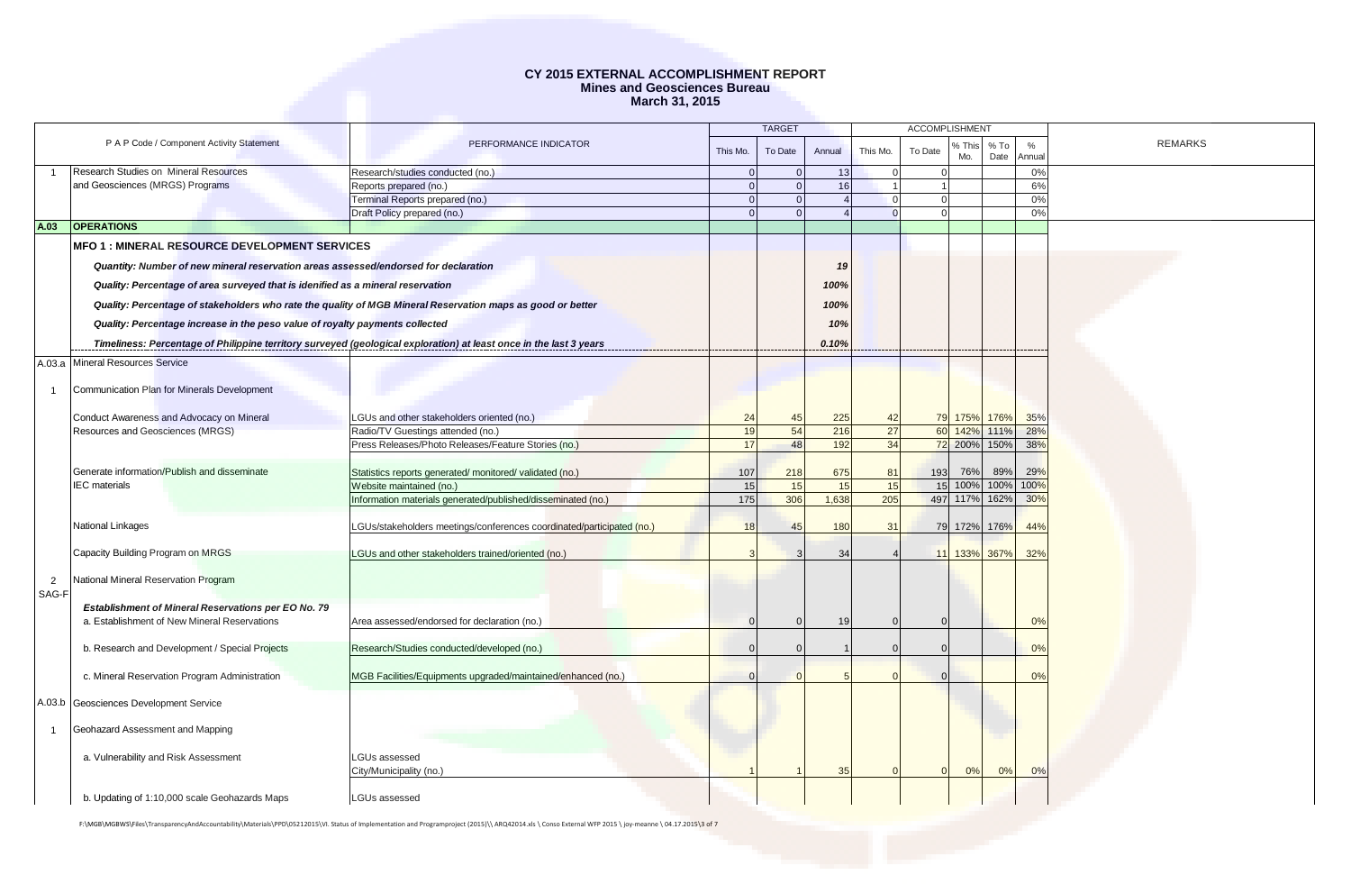|                |                                                                                                     |                                                                                                                    |                | <b>TARGET</b> |        |                |          | <b>ACCOMPLISHMENT</b> |                |                |                |
|----------------|-----------------------------------------------------------------------------------------------------|--------------------------------------------------------------------------------------------------------------------|----------------|---------------|--------|----------------|----------|-----------------------|----------------|----------------|----------------|
|                | P A P Code / Component Activity Statement                                                           | PERFORMANCE INDICATOR                                                                                              | This Mo.       | To Date       | Annual | This Mo.       | To Date  | 6 This<br>Mo.         | $%$ To<br>Date | $\%$<br>Annual | <b>REMARKS</b> |
|                | Research Studies on Mineral Resources                                                               | Research/studies conducted (no.)                                                                                   | $\Omega$       | $\Omega$      | 13     | $\overline{0}$ |          | $\Omega$              |                | 0%             |                |
|                | and Geosciences (MRGS) Programs                                                                     | Reports prepared (no.)                                                                                             | $\overline{0}$ | $\Omega$      | 16     | $\overline{1}$ |          |                       |                | 6%             |                |
|                |                                                                                                     | Terminal Reports prepared (no.)                                                                                    | $\Omega$       | $\Omega$      |        | $\overline{0}$ | $\Omega$ |                       |                | 0%             |                |
|                |                                                                                                     | Draft Policy prepared (no.)                                                                                        | $\Omega$       | $\Omega$      |        | $\Omega$       |          |                       |                | 0%             |                |
| A.03           | <b>OPERATIONS</b>                                                                                   |                                                                                                                    |                |               |        |                |          |                       |                |                |                |
|                | <b>MFO 1: MINERAL RESOURCE DEVELOPMENT SERVICES</b>                                                 |                                                                                                                    |                |               |        |                |          |                       |                |                |                |
|                | Quantity: Number of new mineral reservation areas assessed/endorsed for declaration                 |                                                                                                                    |                |               | 19     |                |          |                       |                |                |                |
|                | Quality: Percentage of area surveyed that is idenified as a mineral reservation                     |                                                                                                                    |                |               | 100%   |                |          |                       |                |                |                |
|                |                                                                                                     | Quality: Percentage of stakeholders who rate the quality of MGB Mineral Reservation maps as good or better         |                |               | 100%   |                |          |                       |                |                |                |
|                | Quality: Percentage increase in the peso value of royalty payments collected                        |                                                                                                                    |                |               | 10%    |                |          |                       |                |                |                |
|                |                                                                                                     |                                                                                                                    |                |               | 0.10%  |                |          |                       |                |                |                |
|                |                                                                                                     | Timeliness: Percentage of Philippine territory surveyed (geological exploration) at least once in the last 3 years |                |               |        |                |          |                       |                |                |                |
|                | A.03.a Mineral Resources Service                                                                    |                                                                                                                    |                |               |        |                |          |                       |                |                |                |
| $\mathbf{1}$   | Communication Plan for Minerals Development                                                         |                                                                                                                    |                |               |        |                |          |                       |                |                |                |
|                |                                                                                                     |                                                                                                                    |                |               |        |                |          |                       |                |                |                |
|                | Conduct Awareness and Advocacy on Mineral                                                           | LGUs and other stakeholders oriented (no.)                                                                         | 24             | 45            | 225    | 42             |          | 79 175% 176%          |                | 35%            |                |
|                | Resources and Geosciences (MRGS)                                                                    | Radio/TV Guestings attended (no.)                                                                                  | 19             | 54            | 216    | 27             |          | 60 142%               | 111%           | 28%            |                |
|                |                                                                                                     | Press Releases/Photo Releases/Feature Stories (no.)                                                                | 17             | 48            | 192    | 34             |          | 72 200% 150%          |                | 38%            |                |
|                |                                                                                                     |                                                                                                                    |                |               |        |                |          |                       |                |                |                |
|                | Generate information/Publish and disseminate                                                        | Statistics reports generated/monitored/validated (no.)                                                             | 107            | 218           | 675    | 81             | 193      | 76%                   | 89%            | 29%            |                |
|                | <b>IEC</b> materials                                                                                | Website maintained (no.)                                                                                           | 15             | 15            | 15     | 15             |          | 15 100%               | 100%           | 100%           |                |
|                |                                                                                                     | Information materials generated/published/disseminated (no.)                                                       | 175            | 306           | 1.638  | 205            |          | 497 117%              | 162%           | 30%            |                |
|                | National Linkages                                                                                   | LGUs/stakeholders meetings/conferences coordinated/participated (no.)                                              | 18             | 45            | 180    | 31             |          | 79 172%               | 176%           | 44%            |                |
|                |                                                                                                     |                                                                                                                    |                |               |        |                |          |                       |                |                |                |
|                | Capacity Building Program on MRGS                                                                   | LGUs and other stakeholders trained/oriented (no.)                                                                 |                |               | 34     |                |          | 11 133% 367%          |                | 32%            |                |
|                |                                                                                                     |                                                                                                                    |                |               |        |                |          |                       |                |                |                |
| $\overline{2}$ | National Mineral Reservation Program                                                                |                                                                                                                    |                |               |        |                |          |                       |                |                |                |
| SAG-F          |                                                                                                     |                                                                                                                    |                |               |        |                |          |                       |                |                |                |
|                | Establishment of Mineral Reservations per EO No. 79<br>a. Establishment of New Mineral Reservations | Area assessed/endorsed for declaration (no.)                                                                       |                |               | 19     | $\Omega$       |          |                       |                | 0%             |                |
|                |                                                                                                     |                                                                                                                    |                |               |        |                |          |                       |                |                |                |
|                | b. Research and Development / Special Projects                                                      | Research/Studies conducted/developed (no.)                                                                         |                |               |        | $\Omega$       |          |                       |                | 0%             |                |
|                |                                                                                                     |                                                                                                                    |                |               |        |                |          |                       |                |                |                |
|                | c. Mineral Reservation Program Administration                                                       | MGB Facilities/Equipments upgraded/maintained/enhanced (no.)                                                       |                |               |        |                |          |                       |                | 0%             |                |
|                |                                                                                                     |                                                                                                                    |                |               |        |                |          |                       |                |                |                |
|                | A.03.b Geosciences Development Service                                                              |                                                                                                                    |                |               |        |                |          |                       |                |                |                |
| $\mathbf{1}$   | Geohazard Assessment and Mapping                                                                    |                                                                                                                    |                |               |        |                |          |                       |                |                |                |
|                |                                                                                                     |                                                                                                                    |                |               |        |                |          |                       |                |                |                |
|                | a. Vulnerability and Risk Assessment                                                                | <b>LGUs assessed</b>                                                                                               |                |               |        |                |          |                       |                |                |                |
|                |                                                                                                     | City/Municipality (no.)                                                                                            |                |               | 35     | $\Omega$       |          | 0%                    | 0%             | 0%             |                |
|                |                                                                                                     |                                                                                                                    |                |               |        |                |          |                       |                |                |                |
|                | b. Updating of 1:10,000 scale Geohazards Maps                                                       | LGUs assessed                                                                                                      |                |               |        |                |          |                       |                |                |                |

F:\MGB\MGBWS\Files\TransparencyAndAccountability\Materials\PPD\05212015\VI. Status of Implementation and Programproject (2015)\\ ARQ42014.xls \ Conso External WFP 2015 \ joy-meanne \ 04.17.2015\3 of 7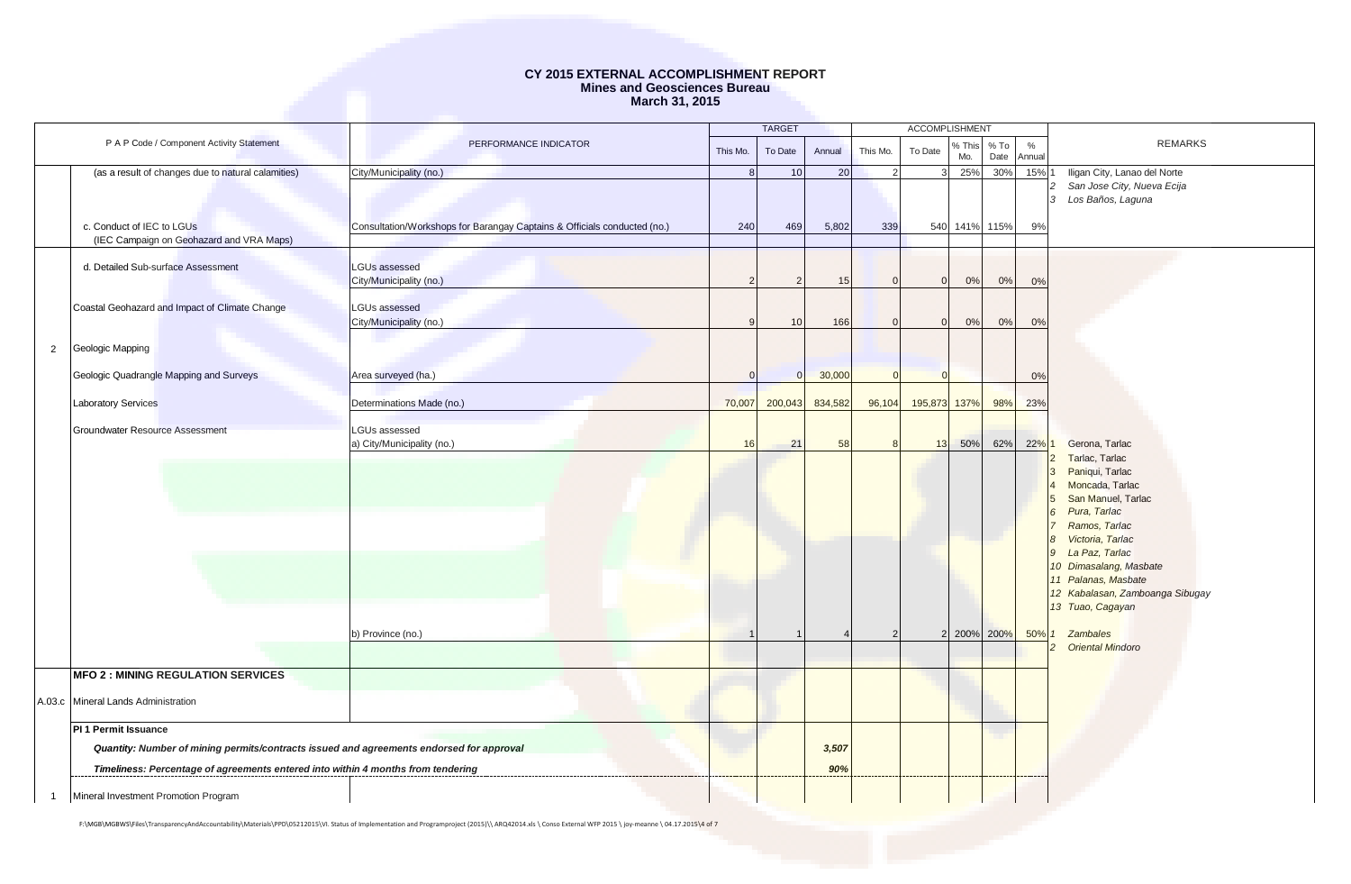|                |                                                                                          | <b>TARGET</b>                                                            |          | <b>ACCOMPLISHMENT</b> |         |                |              |               |                |                         |                                 |
|----------------|------------------------------------------------------------------------------------------|--------------------------------------------------------------------------|----------|-----------------------|---------|----------------|--------------|---------------|----------------|-------------------------|---------------------------------|
|                | P A P Code / Component Activity Statement                                                | PERFORMANCE INDICATOR                                                    | This Mo. | To Date               | Annual  | This Mo.       | To Date      | % This<br>Mo. | $%$ To<br>Date | $\frac{0}{0}$<br>Annual | <b>REMARKS</b>                  |
|                | (as a result of changes due to natural calamities)                                       | City/Municipality (no.)                                                  | 8        | 10                    | 20      | $\overline{2}$ |              | 3 25%         |                | 30% 15% 1               | Iligan City, Lanao del Norte    |
|                |                                                                                          |                                                                          |          |                       |         |                |              |               |                |                         | San Jose City, Nueva Ecija      |
|                |                                                                                          |                                                                          |          |                       |         |                |              |               |                |                         | Los Baños, Laguna               |
|                |                                                                                          |                                                                          |          |                       |         |                |              |               |                |                         |                                 |
|                | c. Conduct of IEC to LGUs                                                                | Consultation/Workshops for Barangay Captains & Officials conducted (no.) | 240      | 469                   | 5,802   | 339            |              | 540 141% 115% |                | 9%                      |                                 |
|                | (IEC Campaign on Geohazard and VRA Maps)                                                 |                                                                          |          |                       |         |                |              |               |                |                         |                                 |
|                | d. Detailed Sub-surface Assessment                                                       | <b>LGUs assessed</b>                                                     |          |                       |         |                |              |               |                |                         |                                 |
|                |                                                                                          | City/Municipality (no.)                                                  |          |                       | 15      | $\Omega$       | $\Omega$     | 0%            | 0%             | 0%                      |                                 |
|                |                                                                                          |                                                                          |          |                       |         |                |              |               |                |                         |                                 |
|                | Coastal Geohazard and Impact of Climate Change                                           | <b>LGUs assessed</b>                                                     |          |                       |         |                |              |               |                |                         |                                 |
|                |                                                                                          | City/Municipality (no.)                                                  |          | 10                    | 166     |                |              | 0%            | 0%             | 0%                      |                                 |
|                |                                                                                          |                                                                          |          |                       |         |                |              |               |                |                         |                                 |
| $\overline{2}$ | Geologic Mapping                                                                         |                                                                          |          |                       |         |                |              |               |                |                         |                                 |
|                | Geologic Quadrangle Mapping and Surveys                                                  | Area surveyed (ha.)                                                      |          |                       | 30,000  | $\Omega$       | $\Omega$     |               |                | 0%                      |                                 |
|                |                                                                                          |                                                                          |          |                       |         |                |              |               |                |                         |                                 |
|                | <b>Laboratory Services</b>                                                               | Determinations Made (no.)                                                | 70,007   | 200,043               | 834,582 | 96,104         | 195,873 137% |               | 98%            | 23%                     |                                 |
|                | Groundwater Resource Assessment                                                          | LGUs assessed                                                            |          |                       |         |                |              |               |                |                         |                                 |
|                |                                                                                          | a) City/Municipality (no.)                                               | 16       | 21                    | 58      | 8              | 13           | 50%           | 62%            | 22% 1                   | Gerona, Tarlac                  |
|                |                                                                                          |                                                                          |          |                       |         |                |              |               |                |                         | Tarlac, Tarlac                  |
|                |                                                                                          |                                                                          |          |                       |         |                |              |               |                |                         | Paniqui, Tarlac                 |
|                |                                                                                          |                                                                          |          |                       |         |                |              |               |                |                         | Moncada, Tarlac                 |
|                |                                                                                          |                                                                          |          |                       |         |                |              |               |                |                         | San Manuel, Tarlac              |
|                |                                                                                          |                                                                          |          |                       |         |                |              |               |                |                         | Pura, Tarlac<br>Ramos, Tarlac   |
|                |                                                                                          |                                                                          |          |                       |         |                |              |               |                |                         | Victoria, Tarlac                |
|                |                                                                                          |                                                                          |          |                       |         |                |              |               |                |                         | La Paz, Tarlac<br>9             |
|                |                                                                                          |                                                                          |          |                       |         |                |              |               |                |                         | 10 Dimasalang, Masbate          |
|                |                                                                                          |                                                                          |          |                       |         |                |              |               |                |                         | 11 Palanas, Masbate             |
|                |                                                                                          |                                                                          |          |                       |         |                |              |               |                |                         | 12 Kabalasan, Zamboanga Sibugay |
|                |                                                                                          |                                                                          |          |                       |         |                |              |               |                |                         | 13 Tuao, Cagayan                |
|                |                                                                                          | b) Province (no.)                                                        |          |                       |         | $\mathcal{P}$  |              | 2 200%        | 200%           | 50%                     | Zambales                        |
|                |                                                                                          |                                                                          |          |                       |         |                |              |               |                |                         | <b>Oriental Mindoro</b>         |
|                |                                                                                          |                                                                          |          |                       |         |                |              |               |                |                         |                                 |
|                | <b>MFO 2 : MINING REGULATION SERVICES</b>                                                |                                                                          |          |                       |         |                |              |               |                |                         |                                 |
|                | A.03.c Mineral Lands Administration                                                      |                                                                          |          |                       |         |                |              |               |                |                         |                                 |
|                |                                                                                          |                                                                          |          |                       |         |                |              |               |                |                         |                                 |
|                | PI 1 Permit Issuance                                                                     |                                                                          |          |                       |         |                |              |               |                |                         |                                 |
|                | Quantity: Number of mining permits/contracts issued and agreements endorsed for approval |                                                                          |          |                       | 3,507   |                |              |               |                |                         |                                 |
|                | Timeliness: Percentage of agreements entered into within 4 months from tendering         |                                                                          |          |                       | 90%     |                |              |               |                |                         |                                 |
|                | Mineral Investment Promotion Program                                                     |                                                                          |          |                       |         |                |              |               |                |                         |                                 |

F:\MGB\MGBWS\Files\TransparencyAndAccountability\Materials\PPD\05212015\VI. Status of Implementation and Programproject (2015)\\ ARQ42014.xls \ Conso External WFP 2015 \ joy-meanne \ 04.17.2015\4 of 7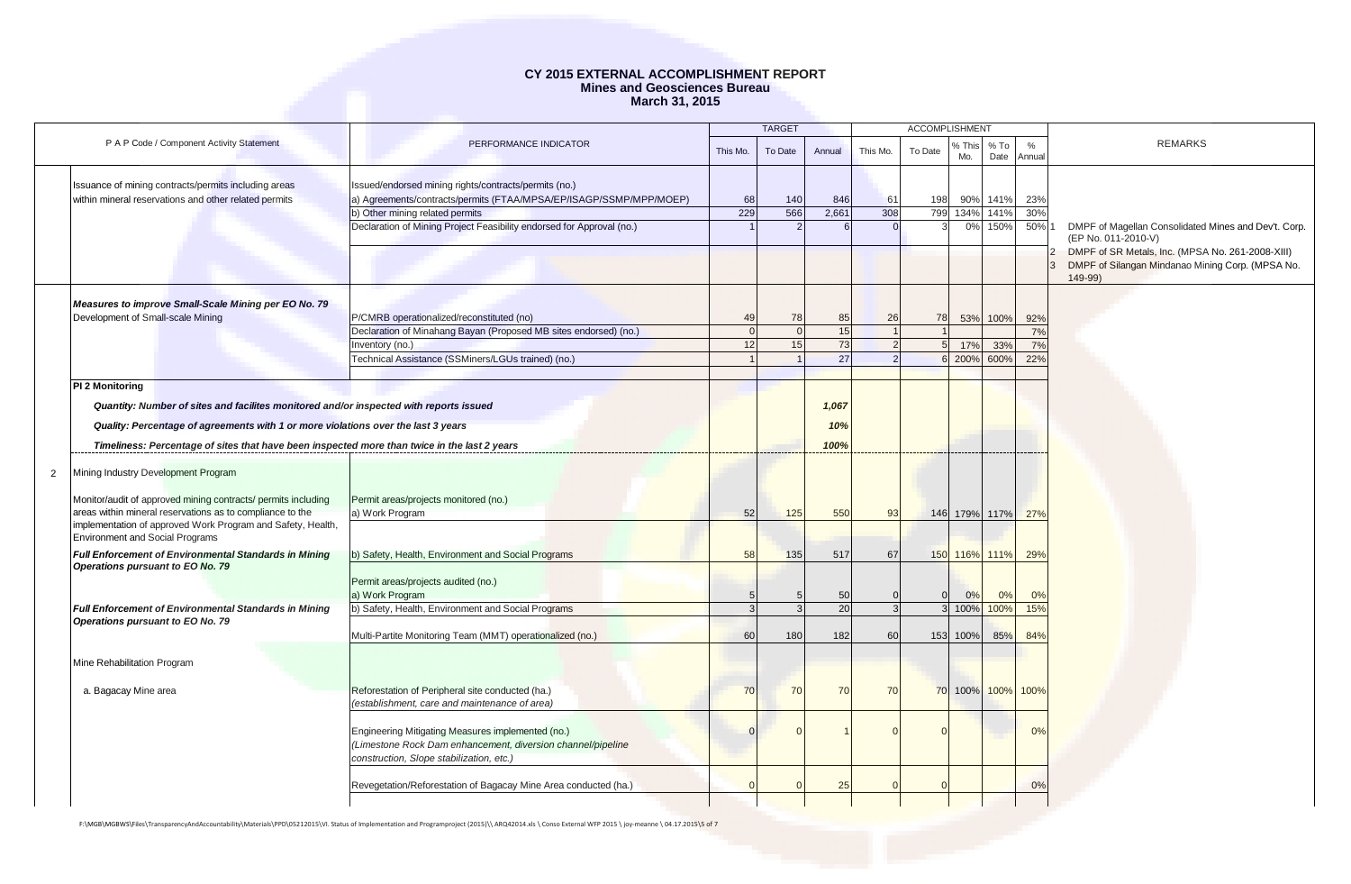|                |                                                                                                                                                                                                                                                                                                |                                                                                                                                                              |           | <b>TARGET</b>  |                      | <b>ACCOMPLISHMENT</b> |                 |               |                   |               |                                                                                                                 |
|----------------|------------------------------------------------------------------------------------------------------------------------------------------------------------------------------------------------------------------------------------------------------------------------------------------------|--------------------------------------------------------------------------------------------------------------------------------------------------------------|-----------|----------------|----------------------|-----------------------|-----------------|---------------|-------------------|---------------|-----------------------------------------------------------------------------------------------------------------|
|                | P A P Code / Component Activity Statement                                                                                                                                                                                                                                                      | PERFORMANCE INDICATOR                                                                                                                                        | This Mo.  | To Date        | Annual               | This Mo.              | To Date         | % This<br>Mo. | $%$ To<br>Date    | $\%$<br>Annua | <b>REMARKS</b>                                                                                                  |
|                | Issuance of mining contracts/permits including areas<br>within mineral reservations and other related permits                                                                                                                                                                                  | Issued/endorsed mining rights/contracts/permits (no.)<br>a) Agreements/contracts/permits (FTAA/MPSA/EP/ISAGP/SSMP/MPP/MOEP)                                  | 68<br>229 | 140<br>566     | 846<br>2,661         | 61<br>308             | 198             | 90%           | 141%              | 23%           |                                                                                                                 |
|                |                                                                                                                                                                                                                                                                                                | b) Other mining related permits<br>Declaration of Mining Project Feasibility endorsed for Approval (no.)                                                     |           |                |                      |                       | 799             | 134%<br>0%    | 141%<br>150%      | 30%<br>50% 1  | DMPF of Magellan Consolidated Mines and Dev't. Corp.<br>(EP No. 011-2010-V)                                     |
|                |                                                                                                                                                                                                                                                                                                |                                                                                                                                                              |           |                |                      |                       |                 |               |                   |               | DMPF of SR Metals, Inc. (MPSA No. 261-2008-XIII)<br>DMPF of Silangan Mindanao Mining Corp. (MPSA No.<br>149-99) |
|                | Measures to improve Small-Scale Mining per EO No. 79<br>Development of Small-scale Mining                                                                                                                                                                                                      | P/CMRB operationalized/reconstituted (no)                                                                                                                    | 49        | 78             | 85                   | 26                    | 78              | 53%           | 100%              | 92%           |                                                                                                                 |
|                |                                                                                                                                                                                                                                                                                                | Declaration of Minahang Bayan (Proposed MB sites endorsed) (no.)                                                                                             |           | $\Omega$       | 15                   | $\overline{1}$        |                 |               |                   | 7%            |                                                                                                                 |
|                |                                                                                                                                                                                                                                                                                                | Inventory (no.)                                                                                                                                              | 12        | 15             | 73                   | $\overline{2}$        |                 | 17%           | 33%               | 7%            |                                                                                                                 |
|                |                                                                                                                                                                                                                                                                                                | Technical Assistance (SSMiners/LGUs trained) (no.)                                                                                                           |           |                | 27                   |                       | $6\overline{6}$ | 200%          | 600%              | 22%           |                                                                                                                 |
|                | PI 2 Monitoring<br>Quantity: Number of sites and facilites monitored and/or inspected with reports issued<br>Quality: Percentage of agreements with 1 or more violations over the last 3 years<br>Timeliness: Percentage of sites that have been inspected more than twice in the last 2 years |                                                                                                                                                              |           |                | 1,067<br>10%<br>100% |                       |                 |               |                   |               |                                                                                                                 |
|                |                                                                                                                                                                                                                                                                                                |                                                                                                                                                              |           |                |                      |                       |                 |               |                   |               |                                                                                                                 |
| $\overline{2}$ | Mining Industry Development Program                                                                                                                                                                                                                                                            |                                                                                                                                                              |           |                |                      |                       |                 |               |                   |               |                                                                                                                 |
|                | Monitor/audit of approved mining contracts/ permits including<br>areas within mineral reservations as to compliance to the<br>implementation of approved Work Program and Safety, Health,                                                                                                      | Permit areas/projects monitored (no.)<br>a) Work Program                                                                                                     | 52        | 125            | 550                  | 93                    |                 |               | 146 179% 117%     | 27%           |                                                                                                                 |
|                | <b>Environment and Social Programs</b><br><b>Full Enforcement of Environmental Standards in Mining</b>                                                                                                                                                                                         | b) Safety, Health, Environment and Social Programs                                                                                                           | 58        | 135            | 517                  | 67                    |                 |               | 150 116% 111%     | 29%           |                                                                                                                 |
|                | Operations pursuant to EO No. 79                                                                                                                                                                                                                                                               | Permit areas/projects audited (no.)<br>a) Work Program                                                                                                       |           |                | 50                   |                       |                 | 0%            | 0%                | 0%            |                                                                                                                 |
|                | <b>Full Enforcement of Environmental Standards in Mining</b>                                                                                                                                                                                                                                   | b) Safety, Health, Environment and Social Programs                                                                                                           |           | $\mathcal{B}$  | 20                   | 3                     |                 | 100%          | 100%              | 15%           |                                                                                                                 |
|                | Operations pursuant to EO No. 79                                                                                                                                                                                                                                                               | Multi-Partite Monitoring Team (MMT) operationalized (no.)                                                                                                    | 60        | 180            | 182                  | 60                    | 153             | 100%          | 85%               | 84%           |                                                                                                                 |
|                | Mine Rehabilitation Program                                                                                                                                                                                                                                                                    |                                                                                                                                                              |           |                |                      |                       |                 |               |                   |               |                                                                                                                 |
|                | a. Bagacay Mine area                                                                                                                                                                                                                                                                           | Reforestation of Peripheral site conducted (ha.)<br>(establishment, care and maintenance of area)                                                            | 70        | 70             | 70                   | 70                    |                 |               | 70 100% 100% 100% |               |                                                                                                                 |
|                |                                                                                                                                                                                                                                                                                                | Engineering Mitigating Measures implemented (no.)<br>(Limestone Rock Dam enhancement, diversion channel/pipeline<br>construction, Slope stabilization, etc.) |           | $\Omega$       |                      |                       |                 |               |                   | 0%            |                                                                                                                 |
|                |                                                                                                                                                                                                                                                                                                | Revegetation/Reforestation of Bagacay Mine Area conducted (ha.)                                                                                              |           | $\overline{0}$ | 25                   | $\Gamma$              |                 |               |                   | 0%            |                                                                                                                 |
|                |                                                                                                                                                                                                                                                                                                |                                                                                                                                                              |           |                |                      |                       |                 |               |                   |               |                                                                                                                 |

F:\MGB\MGBWS\Files\TransparencyAndAccountability\Materials\PPD\05212015\VI. Status of Implementation and Programproject (2015)\\ ARQ42014.xls \ Conso External WFP 2015 \ joy-meanne \ 04.17.2015\5 of 7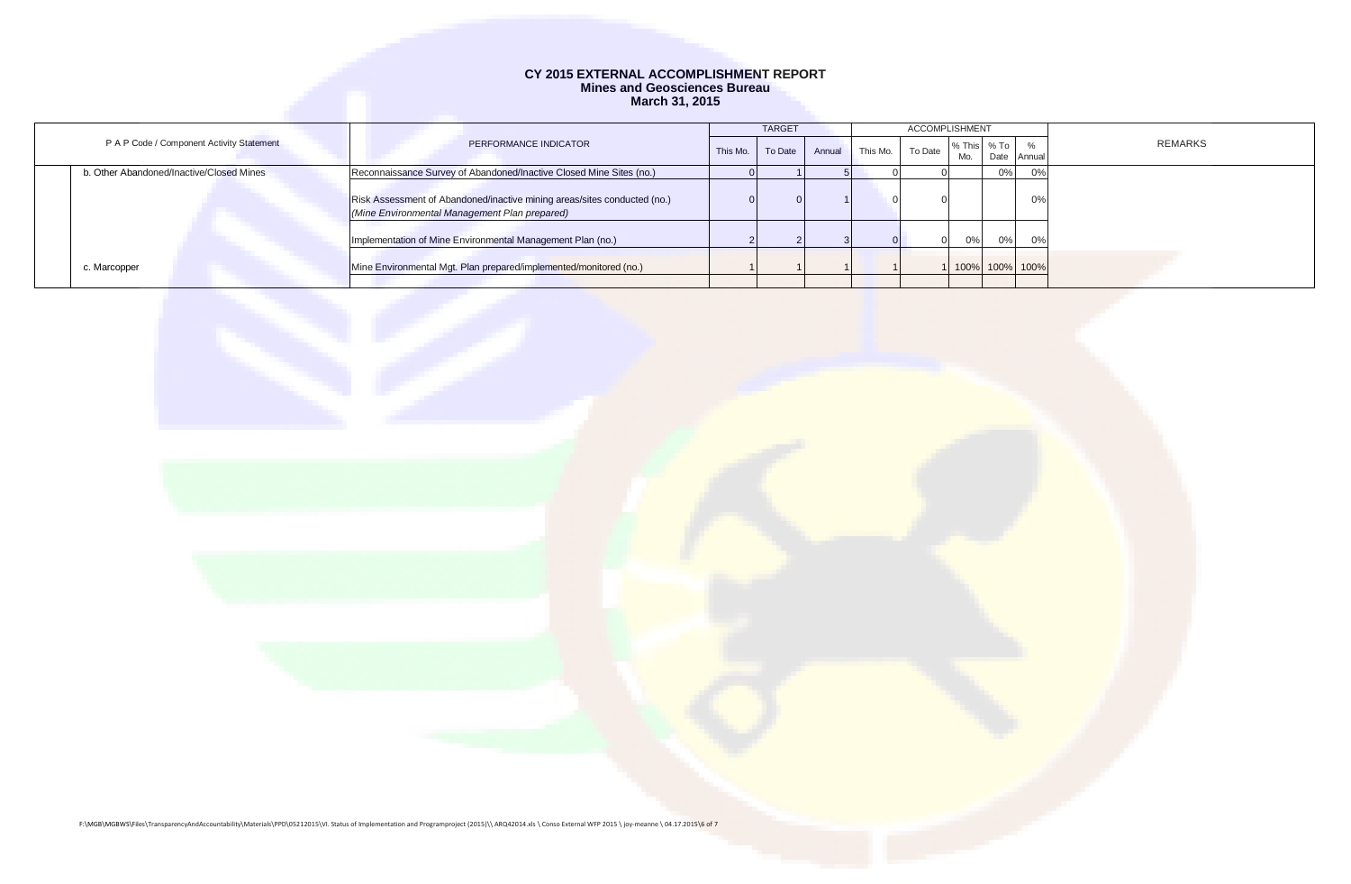|                                           | <b>TARGET</b>                                                                                                             |          |         |        | ACCOMPLISHMENT |         |             |    |                  |         |
|-------------------------------------------|---------------------------------------------------------------------------------------------------------------------------|----------|---------|--------|----------------|---------|-------------|----|------------------|---------|
| P A P Code / Component Activity Statement | PERFORMANCE INDICATOR                                                                                                     | This Mo. | To Date | Annual | This Mo.       | To Date | % This % To |    |                  | REMARKS |
|                                           |                                                                                                                           |          |         |        |                |         | Mo.         |    | Date Annual      |         |
| b. Other Abandoned/Inactive/Closed Mines  | Reconnaissance Survey of Abandoned/Inactive Closed Mine Sites (no.)                                                       |          |         |        |                |         |             | 0% | $\sim$           |         |
|                                           | Risk Assessment of Abandoned/inactive mining areas/sites conducted (no.)<br>(Mine Environmental Management Plan prepared) |          |         |        |                |         |             |    | 0%               |         |
|                                           | Implementation of Mine Environmental Management Plan (no.)                                                                |          |         |        |                |         | 0%          | 0% | $\Omega$ %       |         |
| c. Marcopper                              | Mine Environmental Mgt. Plan prepared/implemented/monitored (no.)                                                         |          |         |        |                |         |             |    | 1 100% 100% 100% |         |

F:\MGB\MGBWS\Files\TransparencyAndAccountability\Materials\PPD\05212015\VI. Status of Implementation and Programproject (2015)\\ ARQ42014.xls \ Conso External WFP 2015 \ joy-meanne \ 04.17.2015\6 of 7